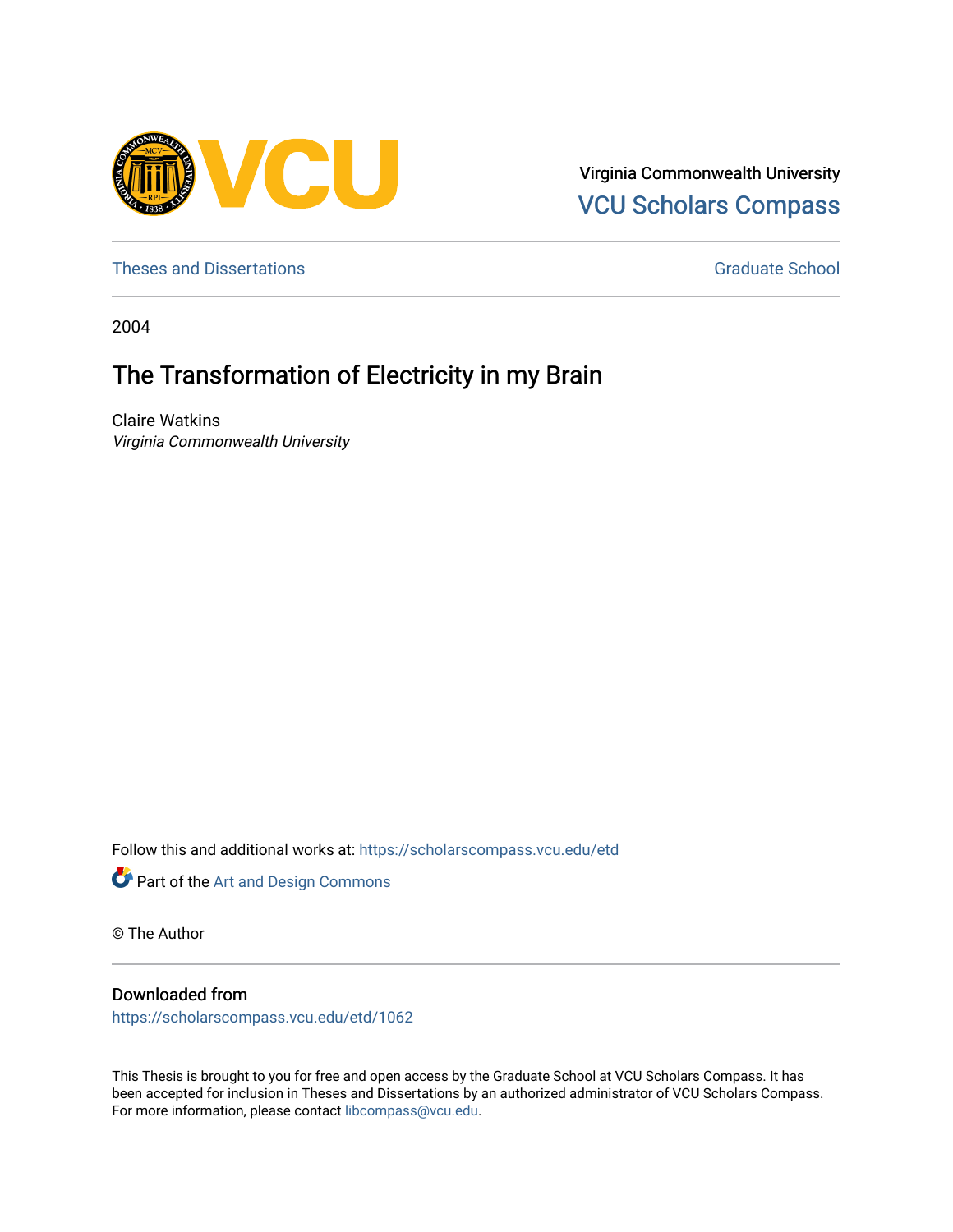

Virginia Commonwealth University [VCU Scholars Compass](https://scholarscompass.vcu.edu/) 

[Theses and Dissertations](https://scholarscompass.vcu.edu/etd) [Graduate School](https://scholarscompass.vcu.edu/gradschool) and Dissertations Graduate School and Dissertations Graduate School and Dissertations Graduate School and Dissertations Graduate School and Dissertations Graduate School and Dissert

2004

# The Transformation of Electricity in my Brain

Claire Watkins Virginia Commonwealth University

Follow this and additional works at: [https://scholarscompass.vcu.edu/etd](https://scholarscompass.vcu.edu/etd?utm_source=scholarscompass.vcu.edu%2Fetd%2F1062&utm_medium=PDF&utm_campaign=PDFCoverPages) 



© The Author

## Downloaded from

[https://scholarscompass.vcu.edu/etd/1062](https://scholarscompass.vcu.edu/etd/1062?utm_source=scholarscompass.vcu.edu%2Fetd%2F1062&utm_medium=PDF&utm_campaign=PDFCoverPages) 

This Thesis is brought to you for free and open access by the Graduate School at VCU Scholars Compass. It has been accepted for inclusion in Theses and Dissertations by an authorized administrator of VCU Scholars Compass. For more information, please contact [libcompass@vcu.edu](mailto:libcompass@vcu.edu).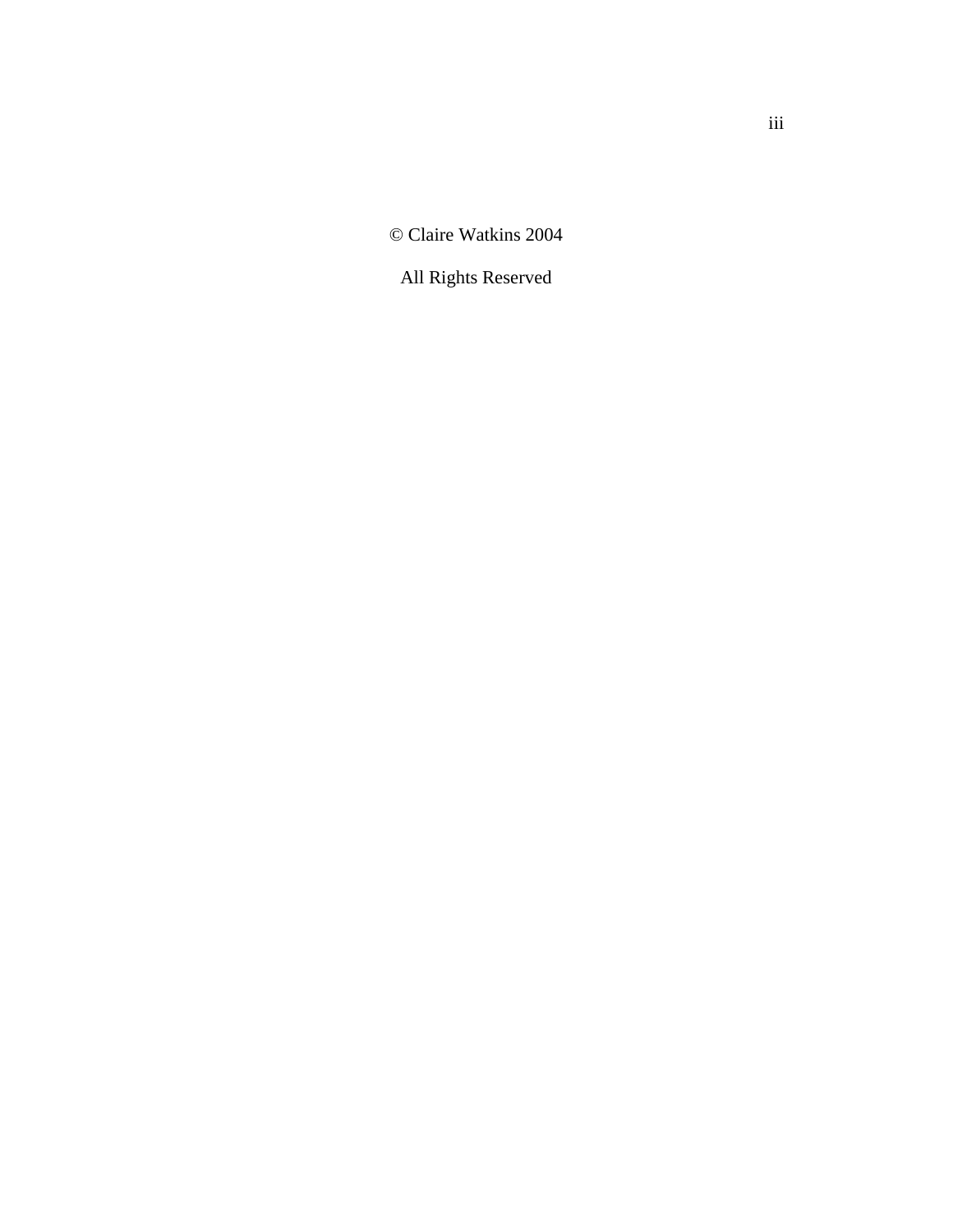© Claire Watkins 2004

All Rights Reserved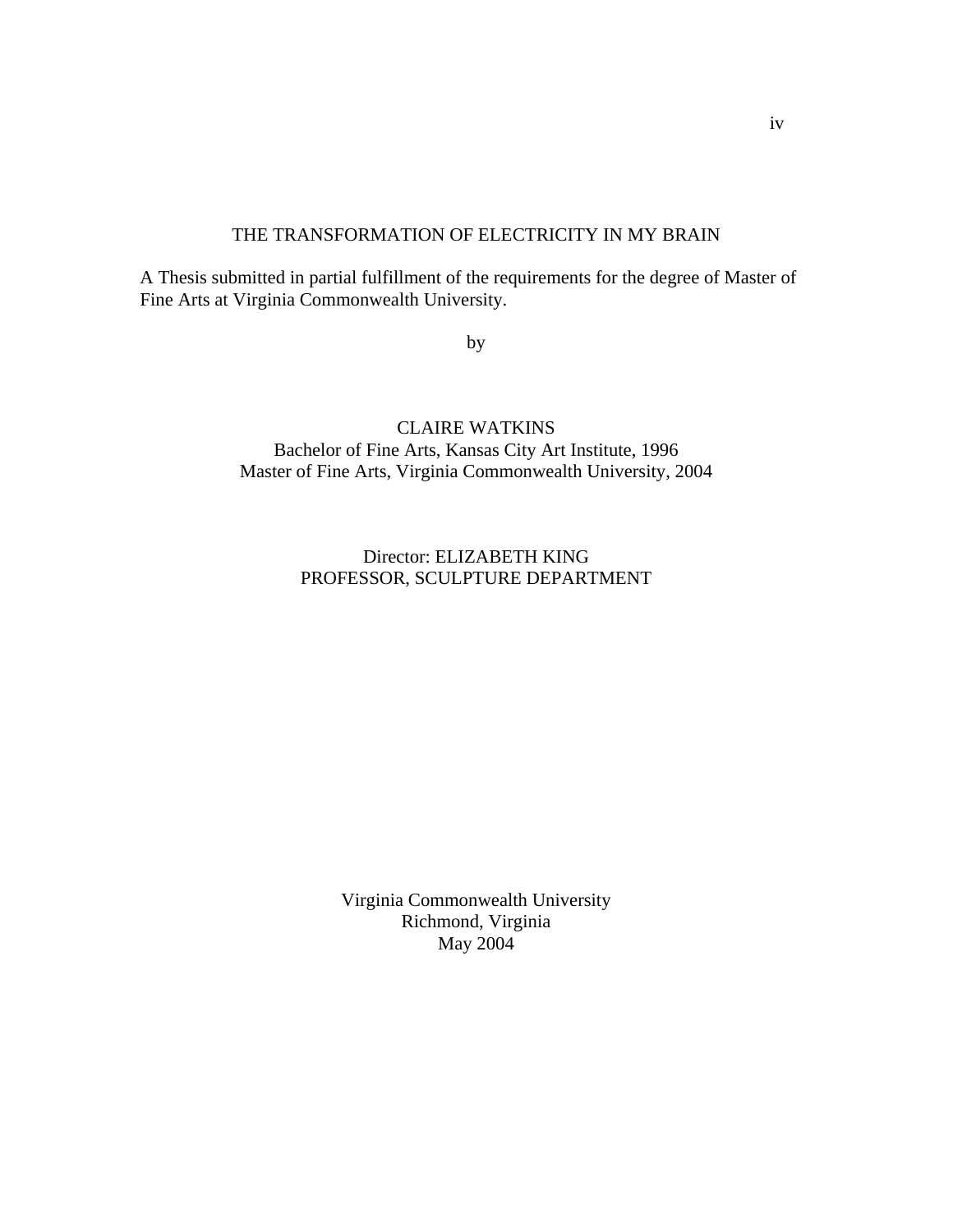## THE TRANSFORMATION OF ELECTRICITY IN MY BRAIN

A Thesis submitted in partial fulfillment of the requirements for the degree of Master of Fine Arts at Virginia Commonwealth University.

by

## CLAIRE WATKINS Bachelor of Fine Arts, Kansas City Art Institute, 1996 Master of Fine Arts, Virginia Commonwealth University, 2004

## Director: ELIZABETH KING PROFESSOR, SCULPTURE DEPARTMENT

Virginia Commonwealth University Richmond, Virginia May 2004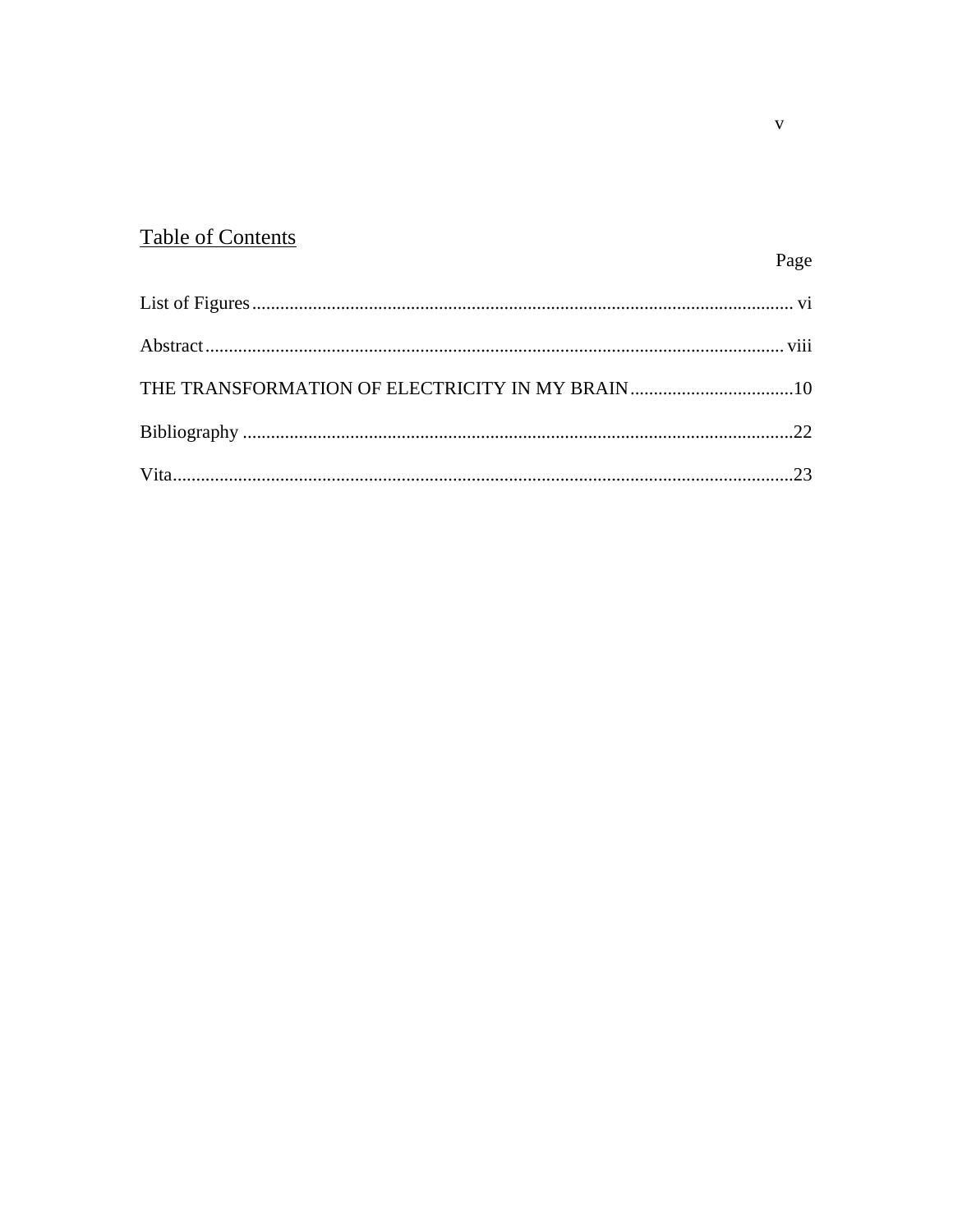# **Table of Contents**

## Page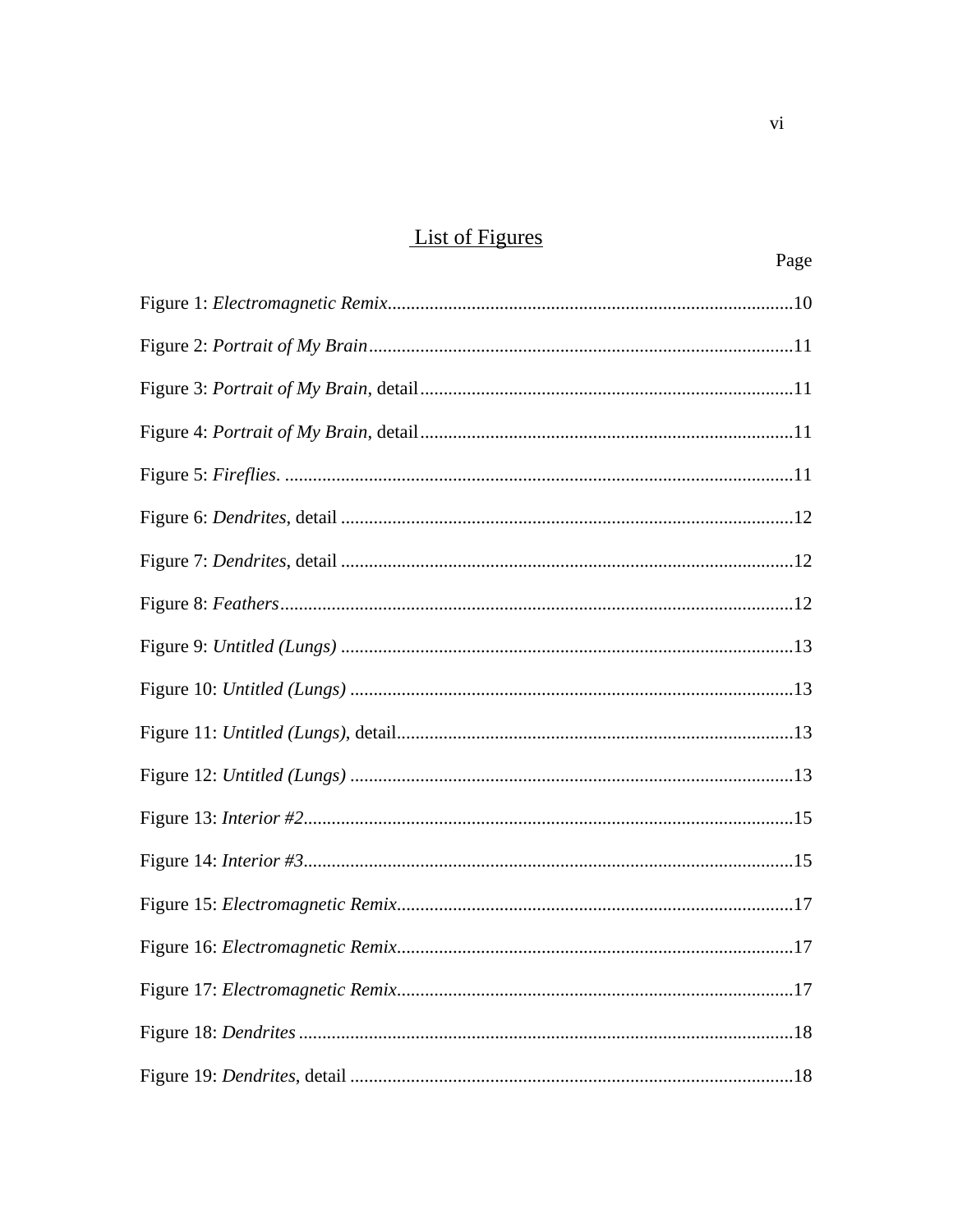# **List of Figures**

| Page |
|------|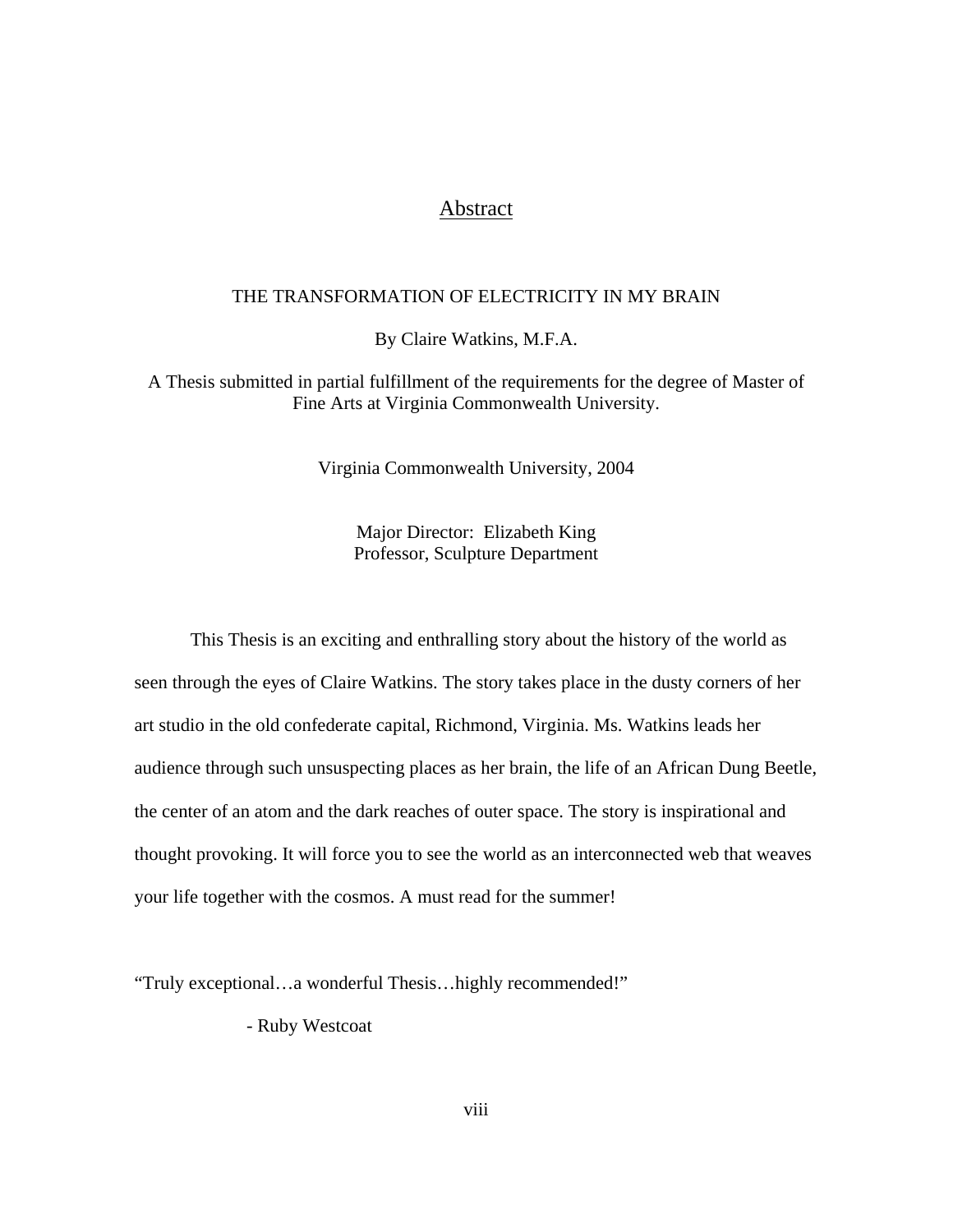## Abstract

#### THE TRANSFORMATION OF ELECTRICITY IN MY BRAIN

By Claire Watkins, M.F.A.

A Thesis submitted in partial fulfillment of the requirements for the degree of Master of Fine Arts at Virginia Commonwealth University.

Virginia Commonwealth University, 2004

Major Director: Elizabeth King Professor, Sculpture Department

This Thesis is an exciting and enthralling story about the history of the world as seen through the eyes of Claire Watkins. The story takes place in the dusty corners of her art studio in the old confederate capital, Richmond, Virginia. Ms. Watkins leads her audience through such unsuspecting places as her brain, the life of an African Dung Beetle, the center of an atom and the dark reaches of outer space. The story is inspirational and thought provoking. It will force you to see the world as an interconnected web that weaves your life together with the cosmos. A must read for the summer!

"Truly exceptional…a wonderful Thesis…highly recommended!"

- Ruby Westcoat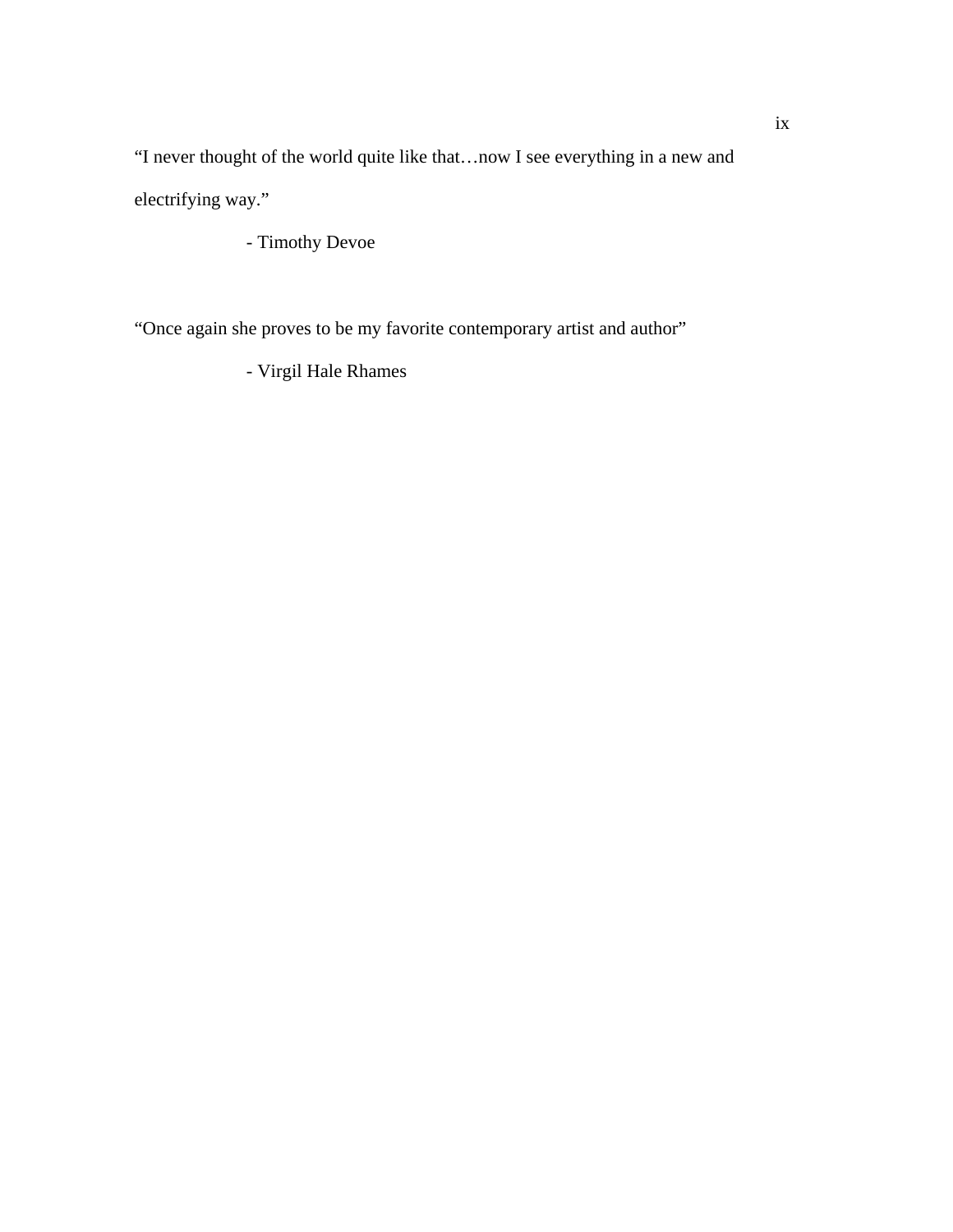"I never thought of the world quite like that…now I see everything in a new and electrifying way."

- Timothy Devoe

"Once again she proves to be my favorite contemporary artist and author"

- Virgil Hale Rhames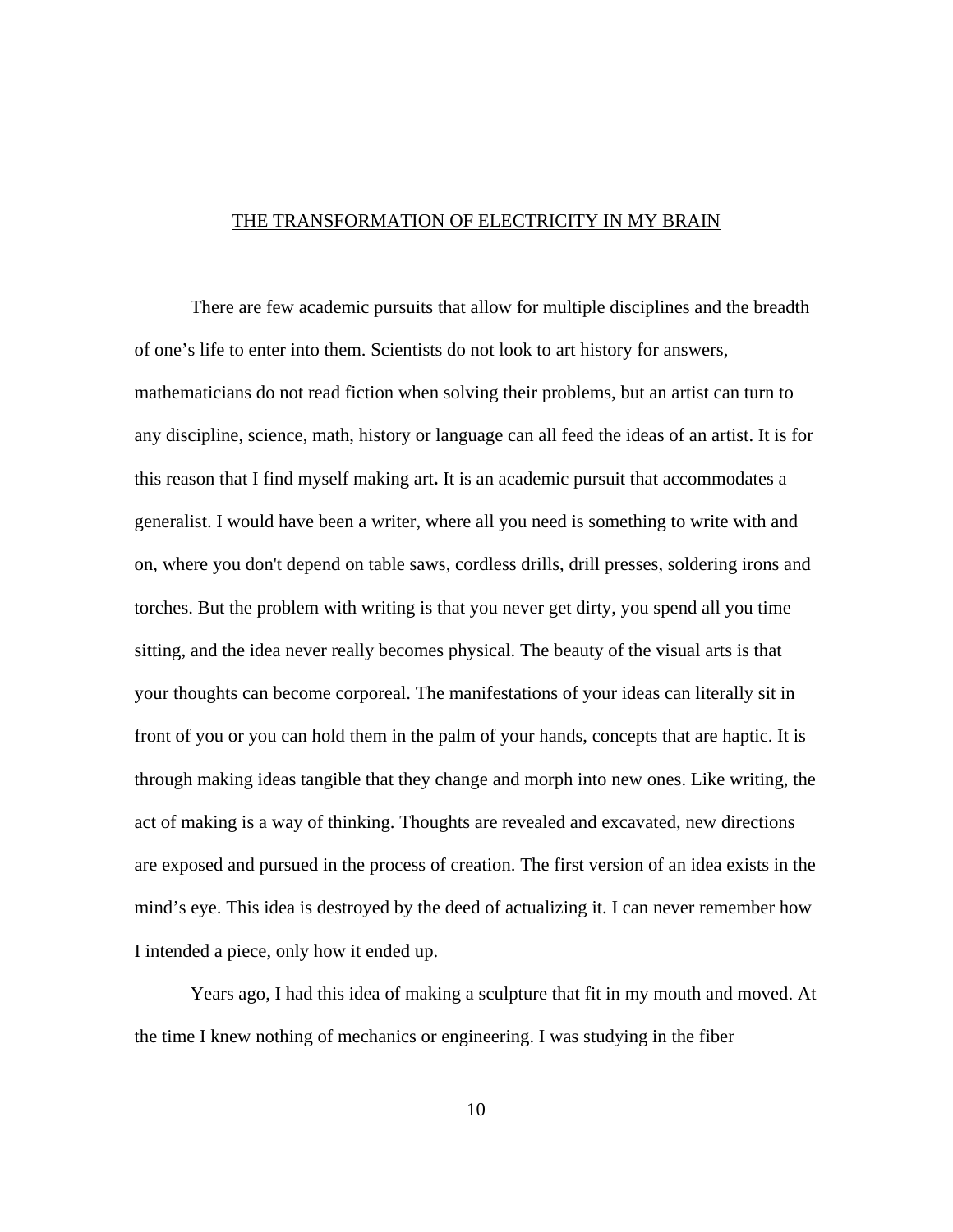#### THE TRANSFORMATION OF ELECTRICITY IN MY BRAIN

 There are few academic pursuits that allow for multiple disciplines and the breadth of one's life to enter into them. Scientists do not look to art history for answers, mathematicians do not read fiction when solving their problems, but an artist can turn to any discipline, science, math, history or language can all feed the ideas of an artist. It is for this reason that I find myself making art**.** It is an academic pursuit that accommodates a generalist. I would have been a writer, where all you need is something to write with and on, where you don't depend on table saws, cordless drills, drill presses, soldering irons and torches. But the problem with writing is that you never get dirty, you spend all you time sitting, and the idea never really becomes physical. The beauty of the visual arts is that your thoughts can become corporeal. The manifestations of your ideas can literally sit in front of you or you can hold them in the palm of your hands, concepts that are haptic. It is through making ideas tangible that they change and morph into new ones. Like writing, the act of making is a way of thinking. Thoughts are revealed and excavated, new directions are exposed and pursued in the process of creation. The first version of an idea exists in the mind's eye. This idea is destroyed by the deed of actualizing it. I can never remember how I intended a piece, only how it ended up.

 Years ago, I had this idea of making a sculpture that fit in my mouth and moved. At the time I knew nothing of mechanics or engineering. I was studying in the fiber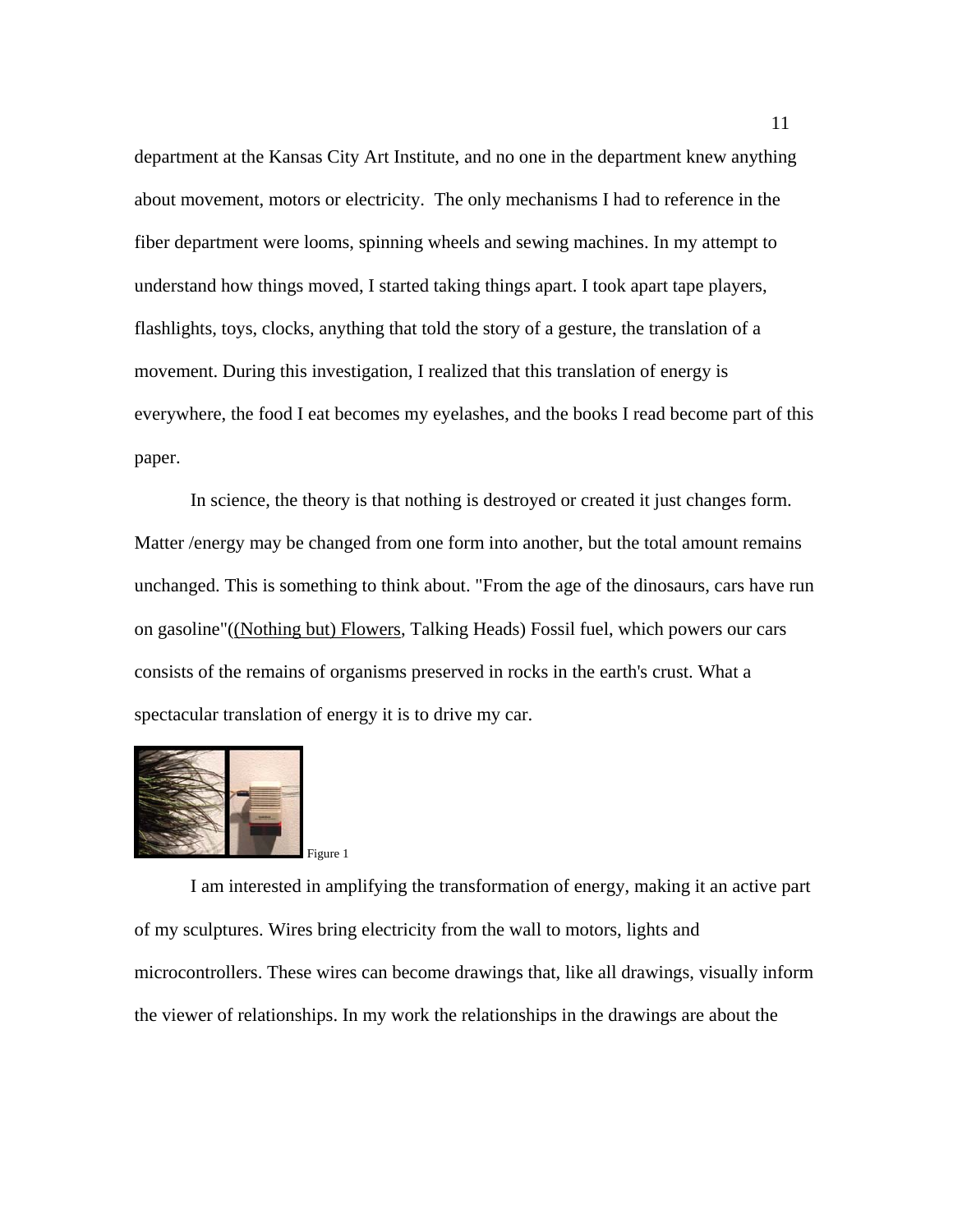department at the Kansas City Art Institute, and no one in the department knew anything about movement, motors or electricity. The only mechanisms I had to reference in the fiber department were looms, spinning wheels and sewing machines. In my attempt to understand how things moved, I started taking things apart. I took apart tape players, flashlights, toys, clocks, anything that told the story of a gesture, the translation of a movement. During this investigation, I realized that this translation of energy is everywhere, the food I eat becomes my eyelashes, and the books I read become part of this paper.

 In science, the theory is that nothing is destroyed or created it just changes form. Matter /energy may be changed from one form into another, but the total amount remains unchanged. This is something to think about. "From the age of the dinosaurs, cars have run on gasoline"((Nothing but) Flowers, Talking Heads) Fossil fuel, which powers our cars consists of the remains of organisms preserved in rocks in the earth's crust. What a spectacular translation of energy it is to drive my car.



 I am interested in amplifying the transformation of energy, making it an active part of my sculptures. Wires bring electricity from the wall to motors, lights and microcontrollers. These wires can become drawings that, like all drawings, visually inform the viewer of relationships. In my work the relationships in the drawings are about the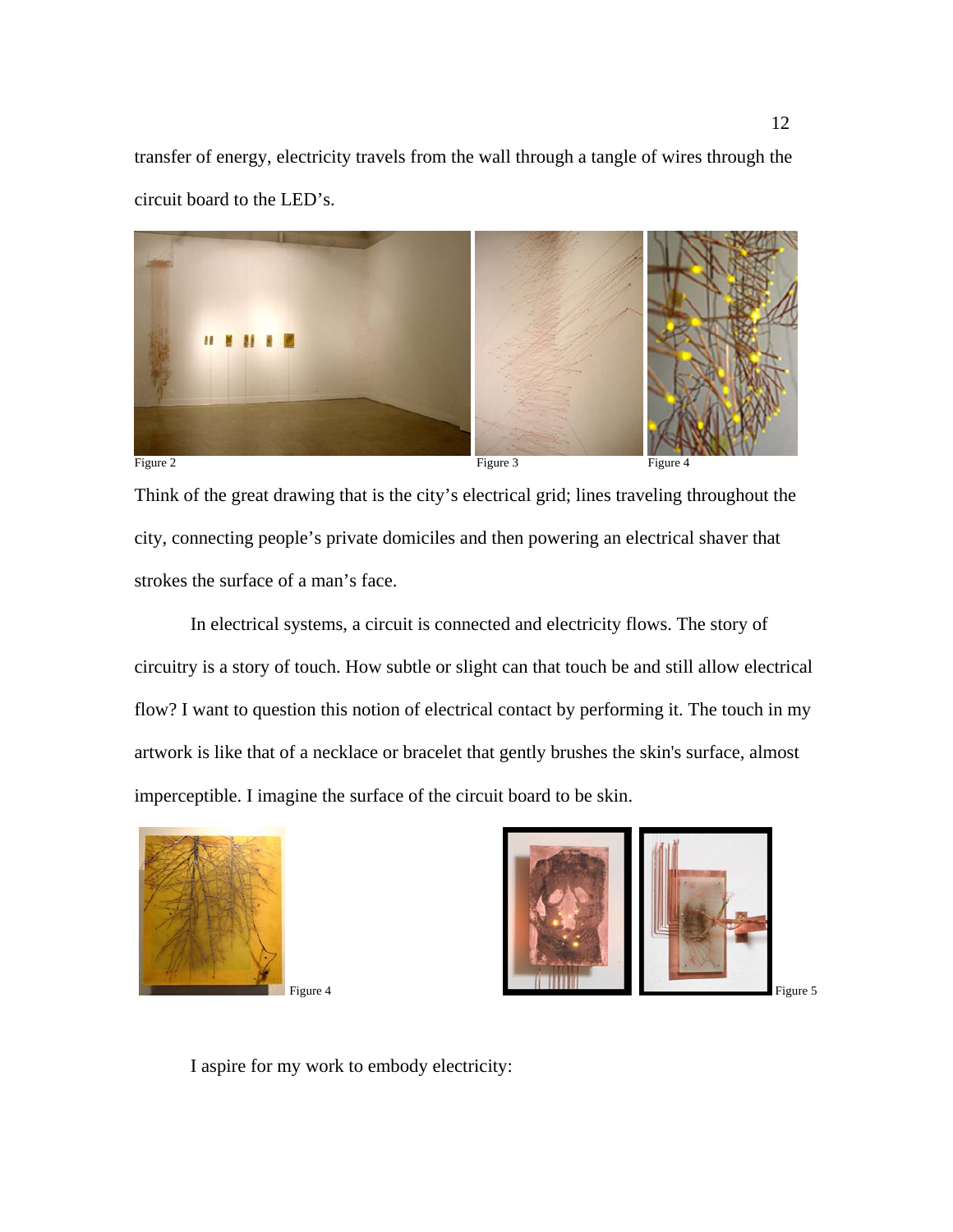transfer of energy, electricity travels from the wall through a tangle of wires through the circuit board to the LED's.



Think of the great drawing that is the city's electrical grid; lines traveling throughout the city, connecting people's private domiciles and then powering an electrical shaver that strokes the surface of a man's face.

 In electrical systems, a circuit is connected and electricity flows. The story of circuitry is a story of touch. How subtle or slight can that touch be and still allow electrical flow? I want to question this notion of electrical contact by performing it. The touch in my artwork is like that of a necklace or bracelet that gently brushes the skin's surface, almost imperceptible. I imagine the surface of the circuit board to be skin.



Figure 4 Figure 5

I aspire for my work to embody electricity: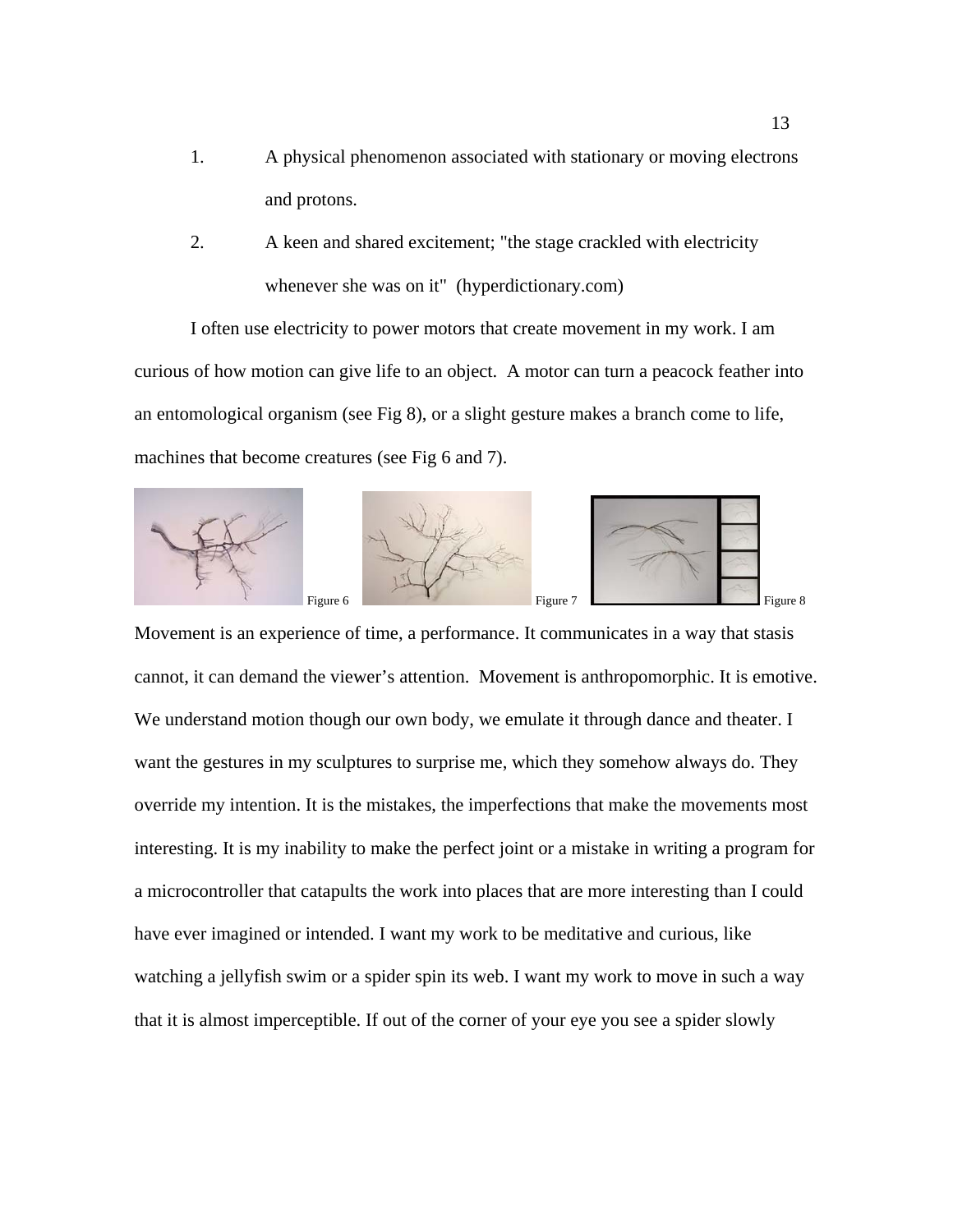- 1. A physical phenomenon associated with stationary or moving electrons and protons.
- 2. A keen and shared excitement; "the stage crackled with electricity whenever she was on it" (hyperdictionary.com)

I often use electricity to power motors that create movement in my work. I am curious of how motion can give life to an object. A motor can turn a peacock feather into an entomological organism (see Fig 8), or a slight gesture makes a branch come to life, machines that become creatures (see Fig 6 and 7).







Movement is an experience of time, a performance. It communicates in a way that stasis cannot, it can demand the viewer's attention. Movement is anthropomorphic. It is emotive. We understand motion though our own body, we emulate it through dance and theater. I want the gestures in my sculptures to surprise me, which they somehow always do. They override my intention. It is the mistakes, the imperfections that make the movements most interesting. It is my inability to make the perfect joint or a mistake in writing a program for a microcontroller that catapults the work into places that are more interesting than I could have ever imagined or intended. I want my work to be meditative and curious, like watching a jellyfish swim or a spider spin its web. I want my work to move in such a way that it is almost imperceptible. If out of the corner of your eye you see a spider slowly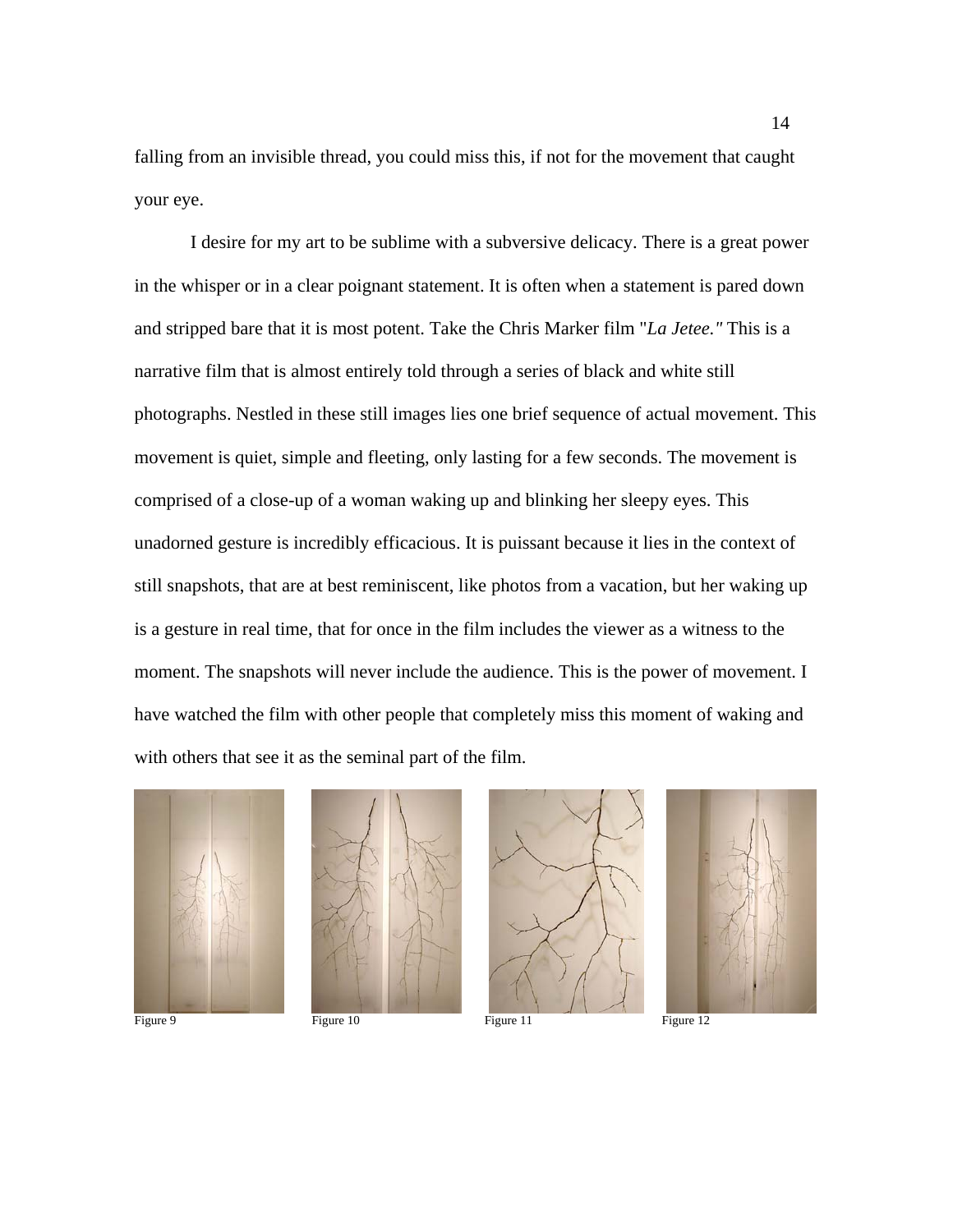falling from an invisible thread, you could miss this, if not for the movement that caught your eye.

 I desire for my art to be sublime with a subversive delicacy. There is a great power in the whisper or in a clear poignant statement. It is often when a statement is pared down and stripped bare that it is most potent. Take the Chris Marker film "*La Jetee."* This is a narrative film that is almost entirely told through a series of black and white still photographs. Nestled in these still images lies one brief sequence of actual movement. This movement is quiet, simple and fleeting, only lasting for a few seconds. The movement is comprised of a close-up of a woman waking up and blinking her sleepy eyes. This unadorned gesture is incredibly efficacious. It is puissant because it lies in the context of still snapshots, that are at best reminiscent, like photos from a vacation, but her waking up is a gesture in real time, that for once in the film includes the viewer as a witness to the moment. The snapshots will never include the audience. This is the power of movement. I have watched the film with other people that completely miss this moment of waking and with others that see it as the seminal part of the film.







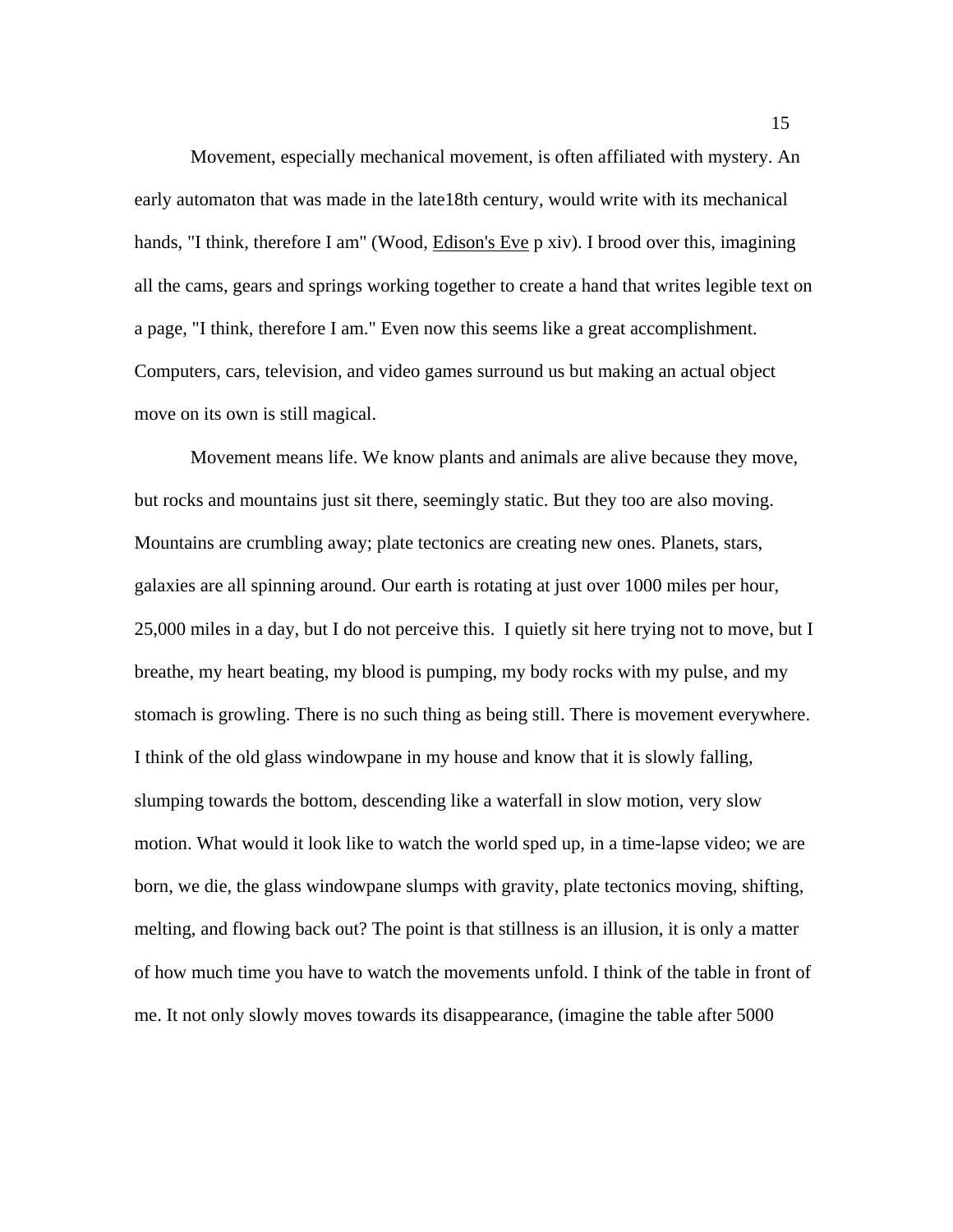Movement, especially mechanical movement, is often affiliated with mystery. An early automaton that was made in the late18th century, would write with its mechanical hands, "I think, therefore I am" (Wood, Edison's Eve p xiv). I brood over this, imagining all the cams, gears and springs working together to create a hand that writes legible text on a page, "I think, therefore I am." Even now this seems like a great accomplishment. Computers, cars, television, and video games surround us but making an actual object move on its own is still magical.

 Movement means life. We know plants and animals are alive because they move, but rocks and mountains just sit there, seemingly static. But they too are also moving. Mountains are crumbling away; plate tectonics are creating new ones. Planets, stars, galaxies are all spinning around. Our earth is rotating at just over 1000 miles per hour, 25,000 miles in a day, but I do not perceive this. I quietly sit here trying not to move, but I breathe, my heart beating, my blood is pumping, my body rocks with my pulse, and my stomach is growling. There is no such thing as being still. There is movement everywhere. I think of the old glass windowpane in my house and know that it is slowly falling, slumping towards the bottom, descending like a waterfall in slow motion, very slow motion. What would it look like to watch the world sped up, in a time-lapse video; we are born, we die, the glass windowpane slumps with gravity, plate tectonics moving, shifting, melting, and flowing back out? The point is that stillness is an illusion, it is only a matter of how much time you have to watch the movements unfold. I think of the table in front of me. It not only slowly moves towards its disappearance, (imagine the table after 5000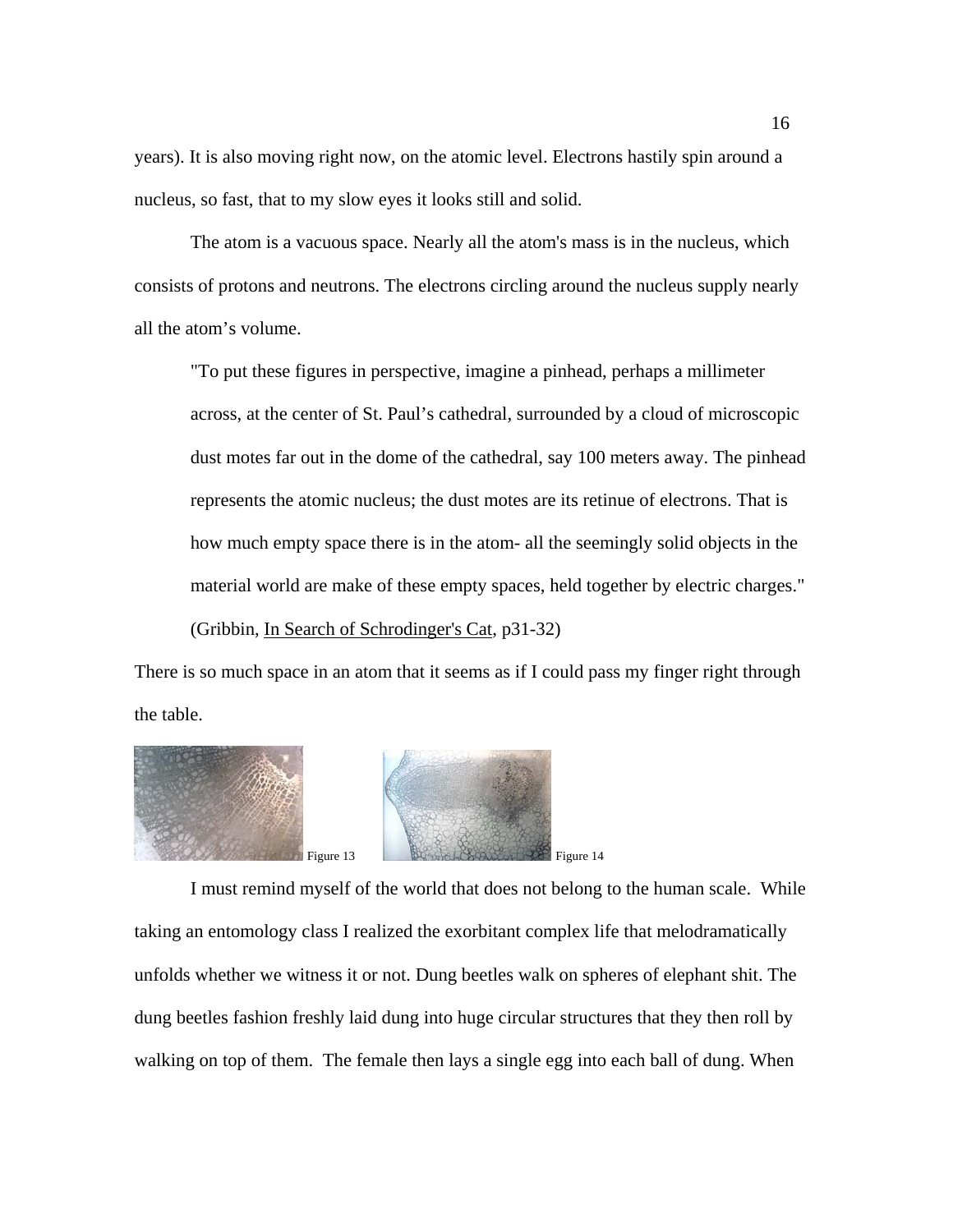years). It is also moving right now, on the atomic level. Electrons hastily spin around a nucleus, so fast, that to my slow eyes it looks still and solid.

 The atom is a vacuous space. Nearly all the atom's mass is in the nucleus, which consists of protons and neutrons. The electrons circling around the nucleus supply nearly all the atom's volume.

"To put these figures in perspective, imagine a pinhead, perhaps a millimeter across, at the center of St. Paul's cathedral, surrounded by a cloud of microscopic dust motes far out in the dome of the cathedral, say 100 meters away. The pinhead represents the atomic nucleus; the dust motes are its retinue of electrons. That is how much empty space there is in the atom- all the seemingly solid objects in the material world are make of these empty spaces, held together by electric charges." (Gribbin, In Search of Schrodinger's Cat, p31-32)

There is so much space in an atom that it seems as if I could pass my finger right through the table.





 I must remind myself of the world that does not belong to the human scale. While taking an entomology class I realized the exorbitant complex life that melodramatically unfolds whether we witness it or not. Dung beetles walk on spheres of elephant shit. The dung beetles fashion freshly laid dung into huge circular structures that they then roll by walking on top of them. The female then lays a single egg into each ball of dung. When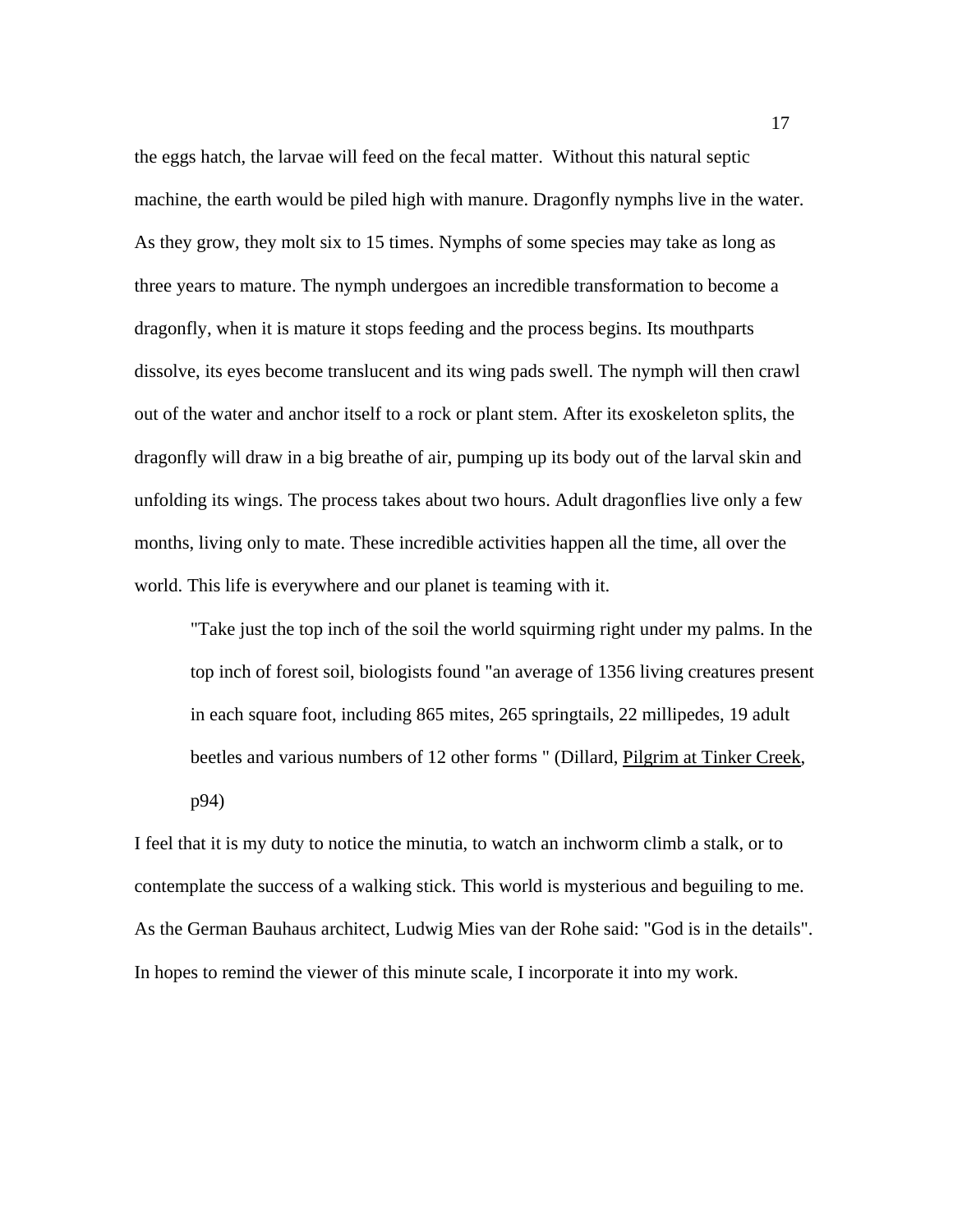the eggs hatch, the larvae will feed on the fecal matter. Without this natural septic machine, the earth would be piled high with manure. Dragonfly nymphs live in the water. As they grow, they molt six to 15 times. Nymphs of some species may take as long as three years to mature. The nymph undergoes an incredible transformation to become a dragonfly, when it is mature it stops feeding and the process begins. Its mouthparts dissolve, its eyes become translucent and its wing pads swell. The nymph will then crawl out of the water and anchor itself to a rock or plant stem. After its exoskeleton splits, the dragonfly will draw in a big breathe of air, pumping up its body out of the larval skin and unfolding its wings. The process takes about two hours. Adult dragonflies live only a few months, living only to mate. These incredible activities happen all the time, all over the world. This life is everywhere and our planet is teaming with it.

"Take just the top inch of the soil the world squirming right under my palms. In the top inch of forest soil, biologists found "an average of 1356 living creatures present in each square foot, including 865 mites, 265 springtails, 22 millipedes, 19 adult beetles and various numbers of 12 other forms " (Dillard, Pilgrim at Tinker Creek, p94)

I feel that it is my duty to notice the minutia, to watch an inchworm climb a stalk, or to contemplate the success of a walking stick. This world is mysterious and beguiling to me. As the German Bauhaus architect, Ludwig Mies van der Rohe said: "God is in the details". In hopes to remind the viewer of this minute scale, I incorporate it into my work.

17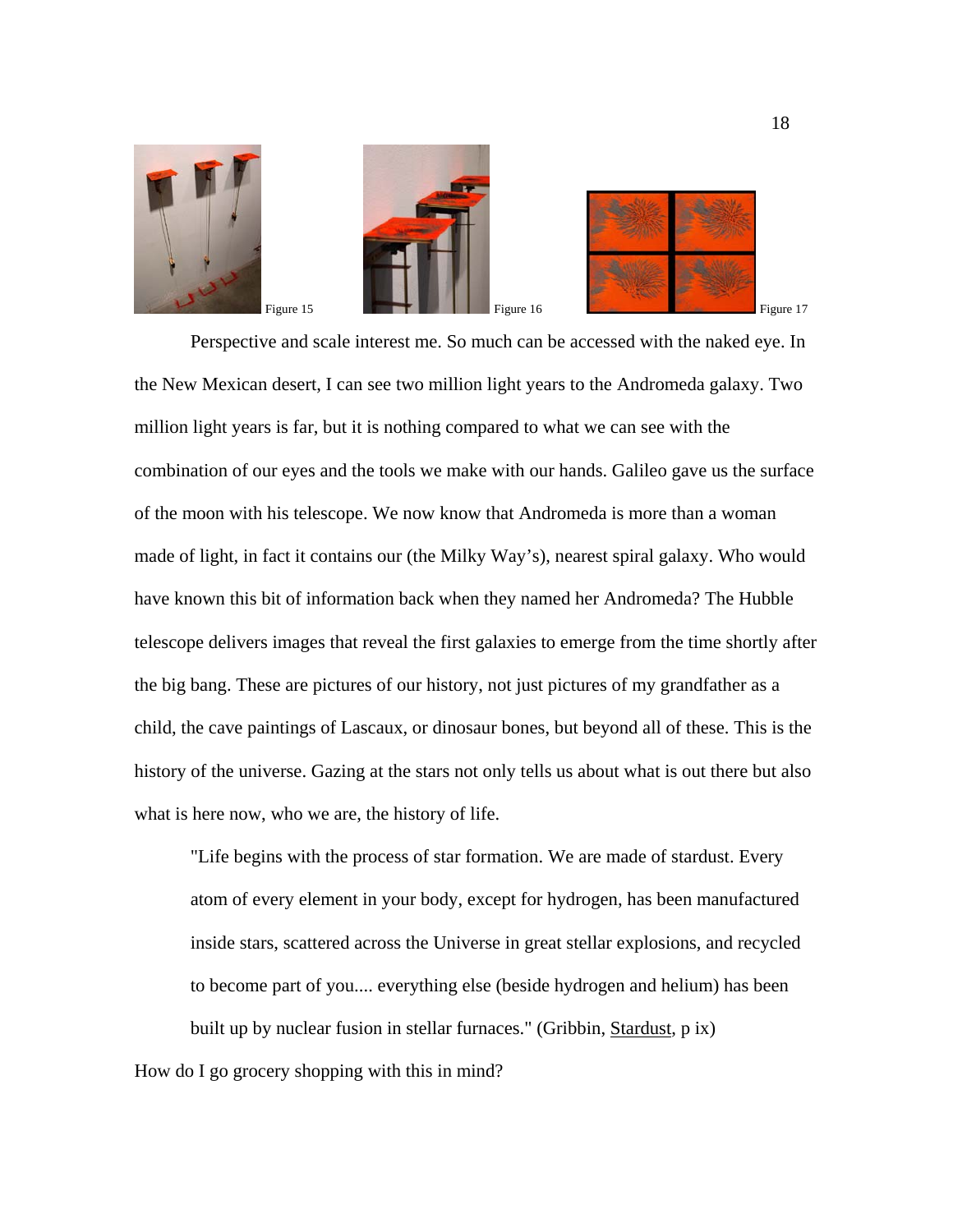





 Perspective and scale interest me. So much can be accessed with the naked eye. In the New Mexican desert, I can see two million light years to the Andromeda galaxy. Two million light years is far, but it is nothing compared to what we can see with the combination of our eyes and the tools we make with our hands. Galileo gave us the surface of the moon with his telescope. We now know that Andromeda is more than a woman made of light, in fact it contains our (the Milky Way's), nearest spiral galaxy. Who would have known this bit of information back when they named her Andromeda? The Hubble telescope delivers images that reveal the first galaxies to emerge from the time shortly after the big bang. These are pictures of our history, not just pictures of my grandfather as a child, the cave paintings of Lascaux, or dinosaur bones, but beyond all of these. This is the history of the universe. Gazing at the stars not only tells us about what is out there but also what is here now, who we are, the history of life.

"Life begins with the process of star formation. We are made of stardust. Every atom of every element in your body, except for hydrogen, has been manufactured inside stars, scattered across the Universe in great stellar explosions, and recycled to become part of you.... everything else (beside hydrogen and helium) has been built up by nuclear fusion in stellar furnaces." (Gribbin, Stardust, p ix)

How do I go grocery shopping with this in mind?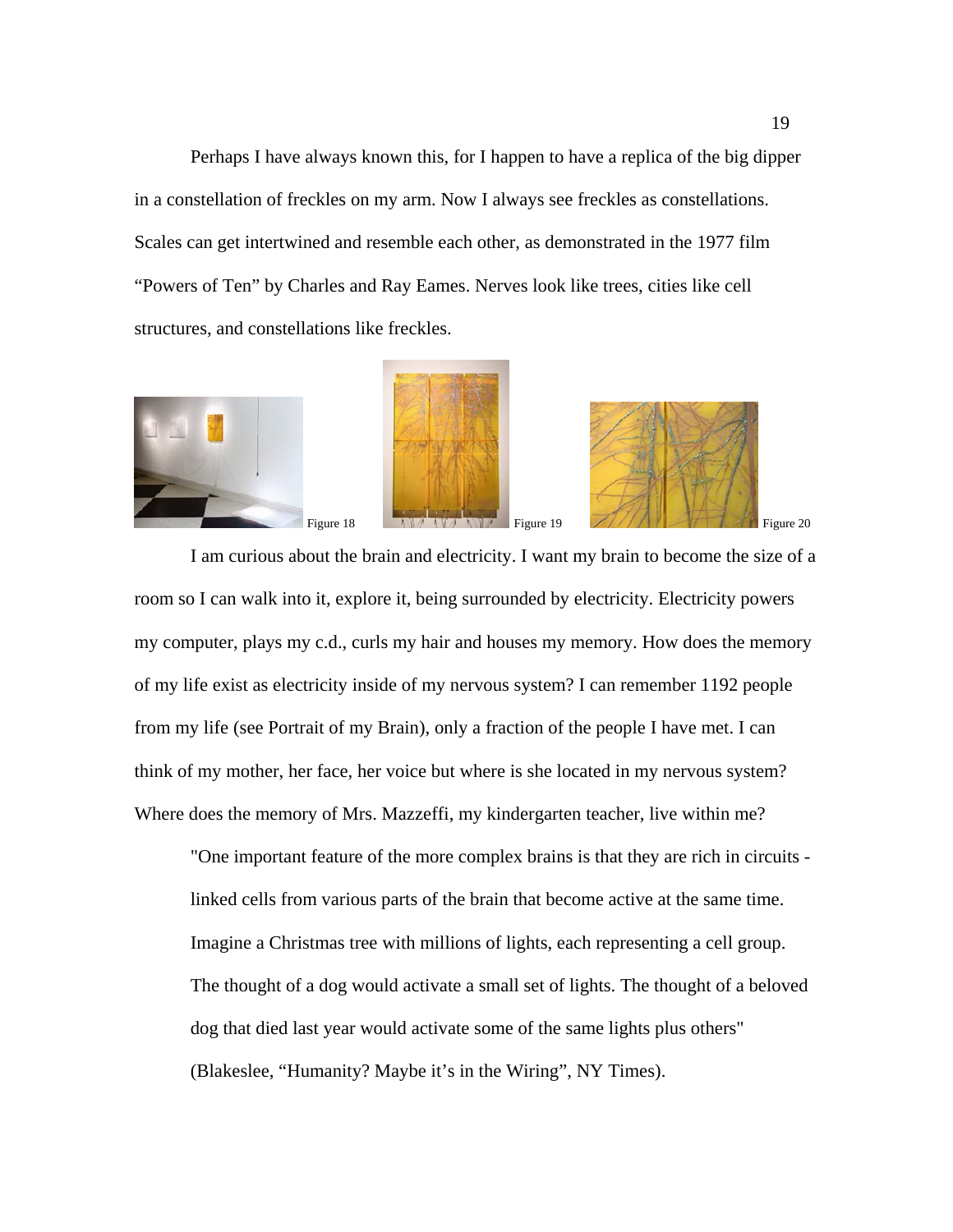Perhaps I have always known this, for I happen to have a replica of the big dipper in a constellation of freckles on my arm. Now I always see freckles as constellations. Scales can get intertwined and resemble each other, as demonstrated in the 1977 film "Powers of Ten" by Charles and Ray Eames. Nerves look like trees, cities like cell structures, and constellations like freckles.



 I am curious about the brain and electricity. I want my brain to become the size of a room so I can walk into it, explore it, being surrounded by electricity. Electricity powers my computer, plays my c.d., curls my hair and houses my memory. How does the memory of my life exist as electricity inside of my nervous system? I can remember 1192 people from my life (see Portrait of my Brain), only a fraction of the people I have met. I can think of my mother, her face, her voice but where is she located in my nervous system? Where does the memory of Mrs. Mazzeffi, my kindergarten teacher, live within me?

"One important feature of the more complex brains is that they are rich in circuits linked cells from various parts of the brain that become active at the same time. Imagine a Christmas tree with millions of lights, each representing a cell group. The thought of a dog would activate a small set of lights. The thought of a beloved dog that died last year would activate some of the same lights plus others" (Blakeslee, "Humanity? Maybe it's in the Wiring", NY Times).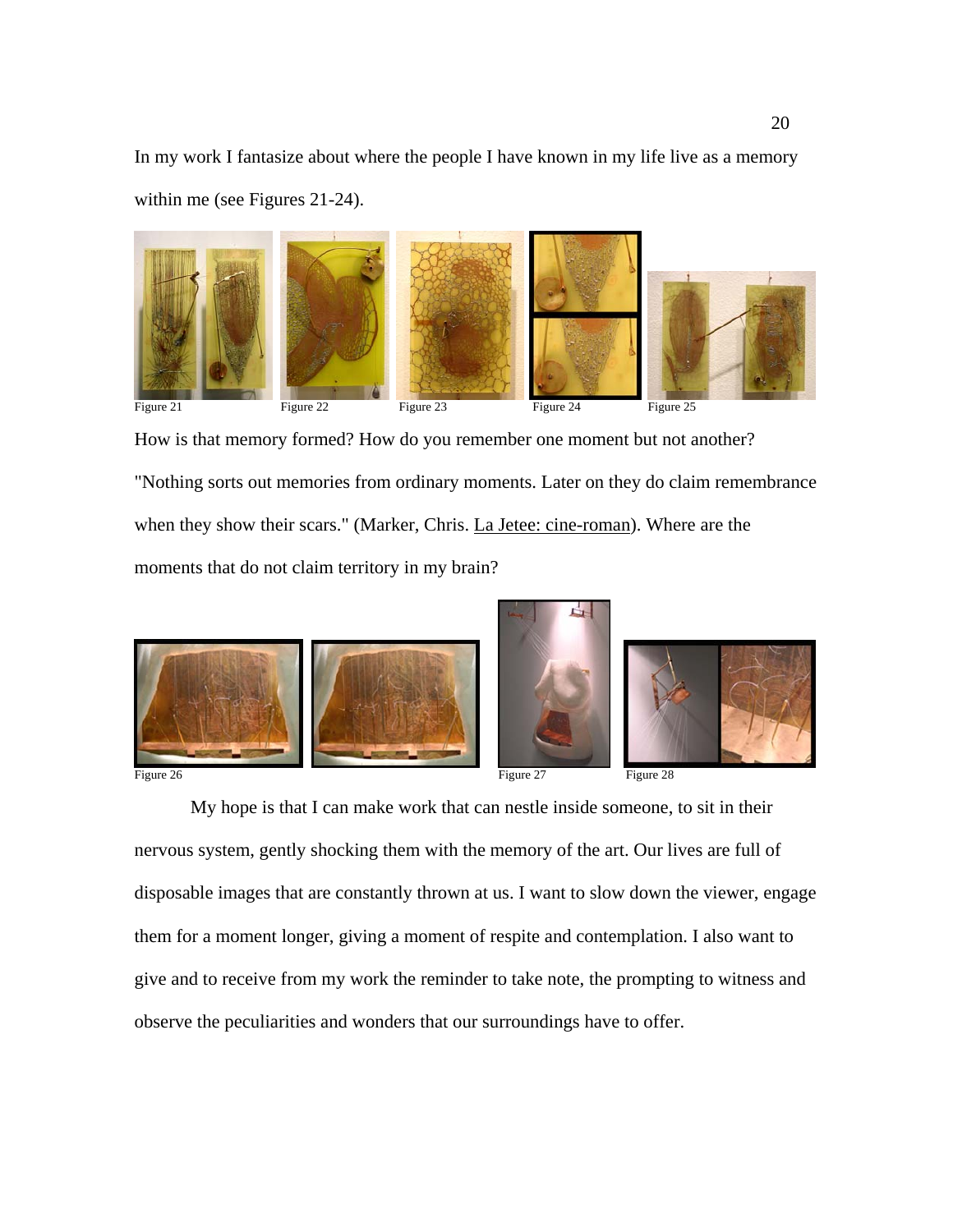In my work I fantasize about where the people I have known in my life live as a memory within me (see Figures 21-24).



How is that memory formed? How do you remember one moment but not another? "Nothing sorts out memories from ordinary moments. Later on they do claim remembrance when they show their scars." (Marker, Chris. La Jetee: cine-roman). Where are the moments that do not claim territory in my brain?







 My hope is that I can make work that can nestle inside someone, to sit in their nervous system, gently shocking them with the memory of the art. Our lives are full of disposable images that are constantly thrown at us. I want to slow down the viewer, engage them for a moment longer, giving a moment of respite and contemplation. I also want to give and to receive from my work the reminder to take note, the prompting to witness and observe the peculiarities and wonders that our surroundings have to offer.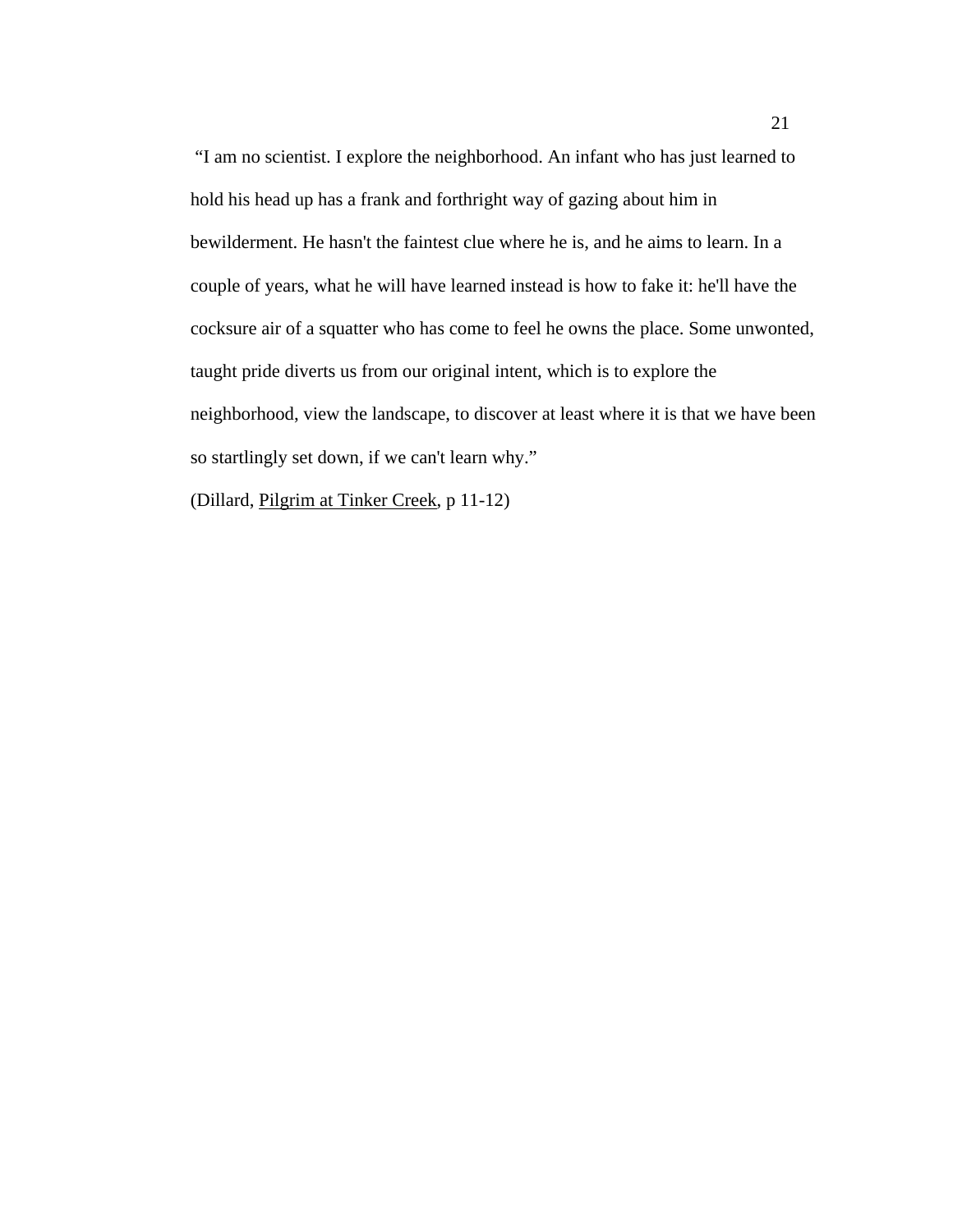"I am no scientist. I explore the neighborhood. An infant who has just learned to hold his head up has a frank and forthright way of gazing about him in bewilderment. He hasn't the faintest clue where he is, and he aims to learn. In a couple of years, what he will have learned instead is how to fake it: he'll have the cocksure air of a squatter who has come to feel he owns the place. Some unwonted, taught pride diverts us from our original intent, which is to explore the neighborhood, view the landscape, to discover at least where it is that we have been so startlingly set down, if we can't learn why."

(Dillard, Pilgrim at Tinker Creek, p 11-12)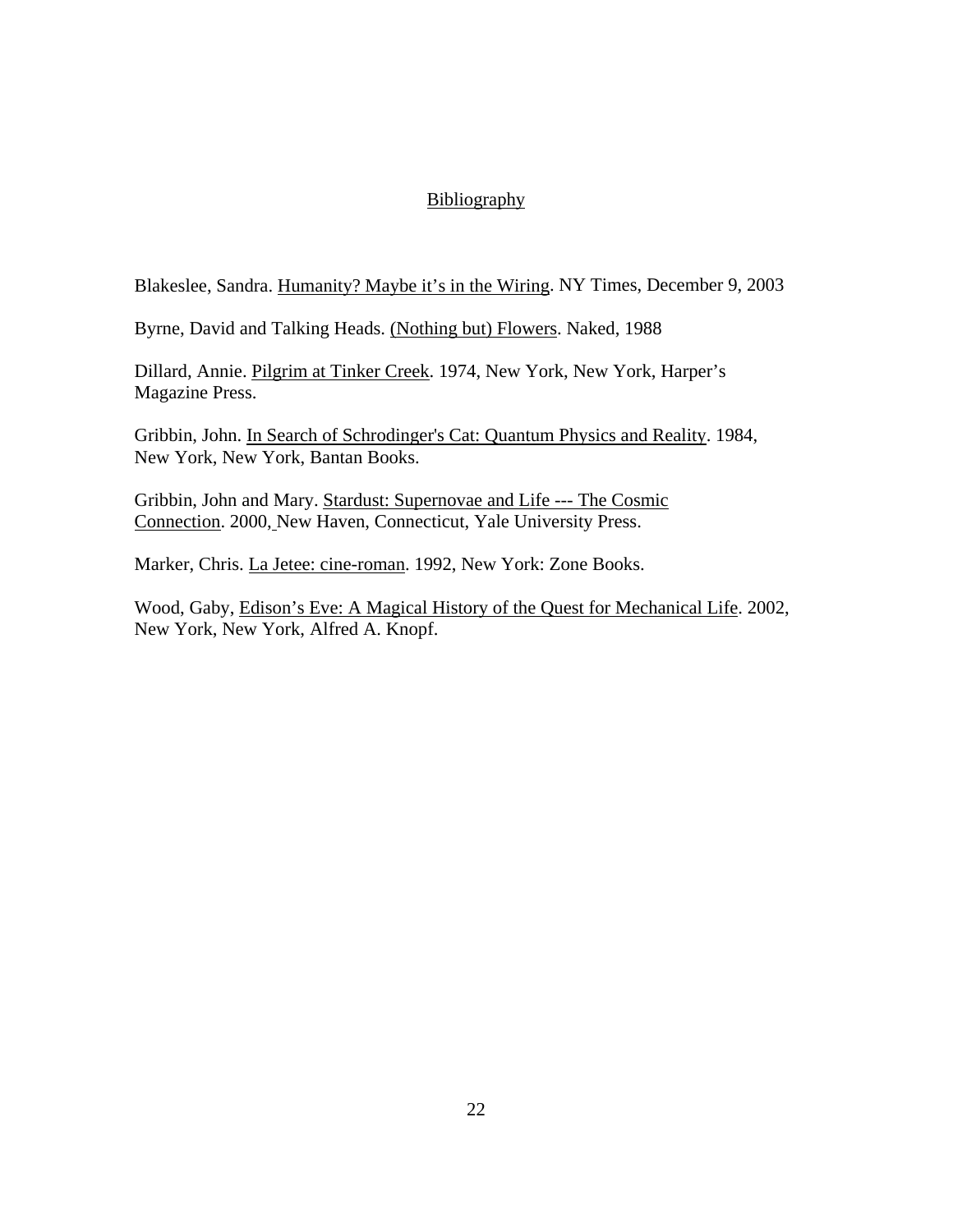## Bibliography

Blakeslee, Sandra. Humanity? Maybe it's in the Wiring. NY Times, December 9, 2003

Byrne, David and Talking Heads. (Nothing but) Flowers. Naked, 1988

Dillard, Annie. Pilgrim at Tinker Creek. 1974, New York, New York, Harper's Magazine Press.

Gribbin, John. In Search of Schrodinger's Cat: Quantum Physics and Reality. 1984, New York, New York, Bantan Books.

Gribbin, John and Mary. Stardust: Supernovae and Life --- The Cosmic Connection. 2000, New Haven, Connecticut, Yale University Press.

Marker, Chris. La Jetee: cine-roman. 1992, New York: Zone Books.

Wood, Gaby, Edison's Eve: A Magical History of the Quest for Mechanical Life. 2002, New York, New York, Alfred A. Knopf.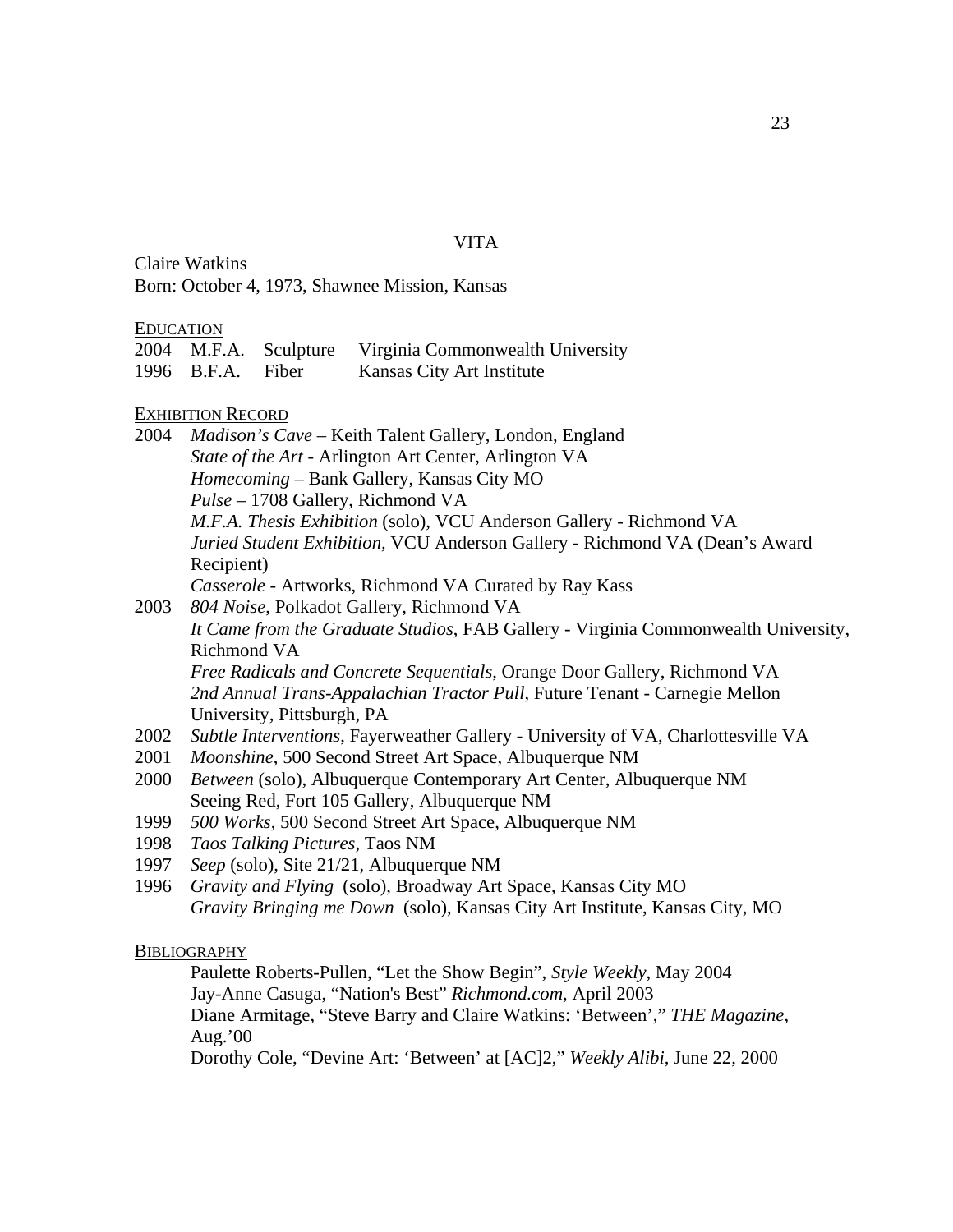#### VITA

Claire Watkins Born: October 4, 1973, Shawnee Mission, Kansas

#### EDUCATION

2004 M.F.A. Sculpture Virginia Commonwealth University 1996 B.F.A. Fiber Kansas City Art Institute

#### EXHIBITION RECORD

2004 *Madison's Cave* – Keith Talent Gallery, London, England *State of the Art* - Arlington Art Center, Arlington VA *Homecoming* – Bank Gallery, Kansas City MO *Pulse* – 1708 Gallery, Richmond VA  *M.F.A. Thesis Exhibition* (solo), VCU Anderson Gallery - Richmond VA  *Juried Student Exhibition,* VCU Anderson Gallery - Richmond VA (Dean's Award Recipient) *Casserole* - Artworks, Richmond VA Curated by Ray Kass 2003 *804 Noise*, Polkadot Gallery, Richmond VA

*It Came from the Graduate Studios*, FAB Gallery - Virginia Commonwealth University, Richmond VA

*Free Radicals and Concrete Sequentials*, Orange Door Gallery, Richmond VA *2nd Annual Trans-Appalachian Tractor Pull*, Future Tenant - Carnegie Mellon University, Pittsburgh, PA

- 2002 *Subtle Interventions*, Fayerweather Gallery University of VA, Charlottesville VA
- 2001 *Moonshine*, 500 Second Street Art Space, Albuquerque NM
- 2000 *Between* (solo), Albuquerque Contemporary Art Center, Albuquerque NM Seeing Red, Fort 105 Gallery, Albuquerque NM
- 1999 *500 Works*, 500 Second Street Art Space, Albuquerque NM
- 1998 *Taos Talking Pictures*, Taos NM
- 1997 *Seep* (solo), Site 21/21, Albuquerque NM
- 1996 *Gravity and Flying* (solo), Broadway Art Space, Kansas City MO *Gravity Bringing me Down* (solo), Kansas City Art Institute, Kansas City, MO

**BIBLIOGRAPHY** 

Paulette Roberts-Pullen, "Let the Show Begin", *Style Weekly*, May 2004 Jay-Anne Casuga, "Nation's Best" *Richmond.com*, April 2003 Diane Armitage, "Steve Barry and Claire Watkins: 'Between'," *THE Magazine*, Aug.'00

Dorothy Cole, "Devine Art: 'Between' at [AC]2," *Weekly Alibi*, June 22, 2000